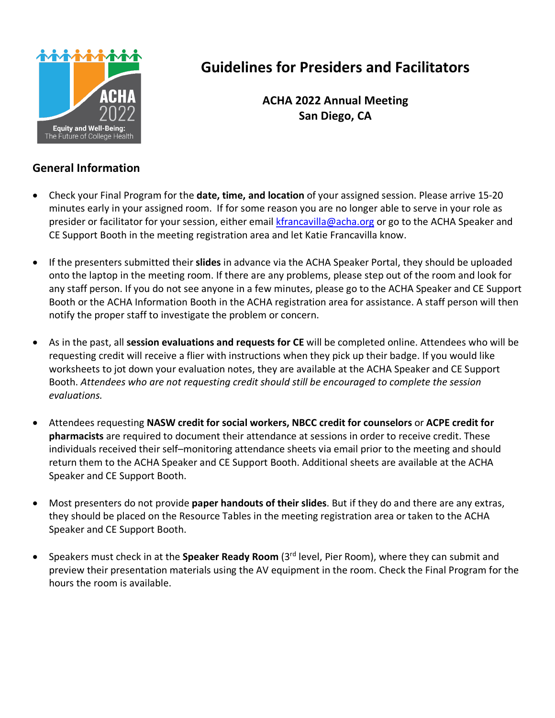

# **Guidelines for Presiders and Facilitators**

**ACHA 2022 Annual Meeting San Diego, CA**

### **General Information**

- Check your Final Program for the **date, time, and location** of your assigned session. Please arrive 15-20 minutes early in your assigned room. If for some reason you are no longer able to serve in your role as presider or facilitator for your session, either email [kfrancavilla@acha.org](mailto:kfrancavilla@acha.org) or go to the ACHA Speaker and CE Support Booth in the meeting registration area and let Katie Francavilla know.
- If the presenters submitted their **slides** in advance via the ACHA Speaker Portal, they should be uploaded onto the laptop in the meeting room. If there are any problems, please step out of the room and look for any staff person. If you do not see anyone in a few minutes, please go to the ACHA Speaker and CE Support Booth or the ACHA Information Booth in the ACHA registration area for assistance. A staff person will then notify the proper staff to investigate the problem or concern.
- As in the past, all **session evaluations and requests for CE** will be completed online. Attendees who will be requesting credit will receive a flier with instructions when they pick up their badge. If you would like worksheets to jot down your evaluation notes, they are available at the ACHA Speaker and CE Support Booth. *Attendees who are not requesting credit should still be encouraged to complete the session evaluations.*
- Attendees requesting **NASW credit for social workers, NBCC credit for counselors** or **ACPE credit for pharmacists** are required to document their attendance at sessions in order to receive credit. These individuals received their self–monitoring attendance sheets via email prior to the meeting and should return them to the ACHA Speaker and CE Support Booth. Additional sheets are available at the ACHA Speaker and CE Support Booth.
- Most presenters do not provide **paper handouts of their slides**. But if they do and there are any extras, they should be placed on the Resource Tables in the meeting registration area or taken to the ACHA Speaker and CE Support Booth.
- Speakers must check in at the **Speaker Ready Room** (3rd level, Pier Room), where they can submit and preview their presentation materials using the AV equipment in the room. Check the Final Program for the hours the room is available.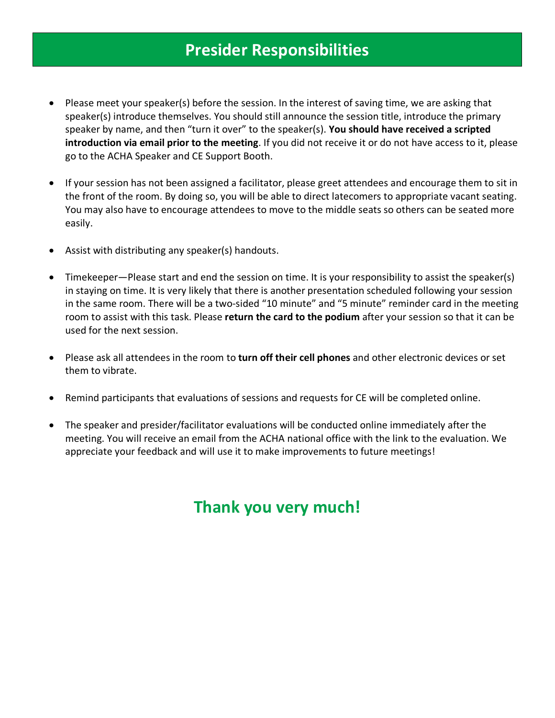## **Presider Responsibilities**

- Please meet your speaker(s) before the session. In the interest of saving time, we are asking that speaker(s) introduce themselves. You should still announce the session title, introduce the primary speaker by name, and then "turn it over" to the speaker(s). **You should have received a scripted introduction via email prior to the meeting**. If you did not receive it or do not have access to it, please go to the ACHA Speaker and CE Support Booth.
- If your session has not been assigned a facilitator, please greet attendees and encourage them to sit in the front of the room. By doing so, you will be able to direct latecomers to appropriate vacant seating. You may also have to encourage attendees to move to the middle seats so others can be seated more easily.
- Assist with distributing any speaker(s) handouts.
- Timekeeper—Please start and end the session on time. It is your responsibility to assist the speaker(s) in staying on time. It is very likely that there is another presentation scheduled following your session in the same room. There will be a two-sided "10 minute" and "5 minute" reminder card in the meeting room to assist with this task. Please **return the card to the podium** after your session so that it can be used for the next session.
- Please ask all attendees in the room to **turn off their cell phones** and other electronic devices or set them to vibrate.
- Remind participants that evaluations of sessions and requests for CE will be completed online.
- The speaker and presider/facilitator evaluations will be conducted online immediately after the meeting. You will receive an email from the ACHA national office with the link to the evaluation. We appreciate your feedback and will use it to make improvements to future meetings!

# **Thank you very much!**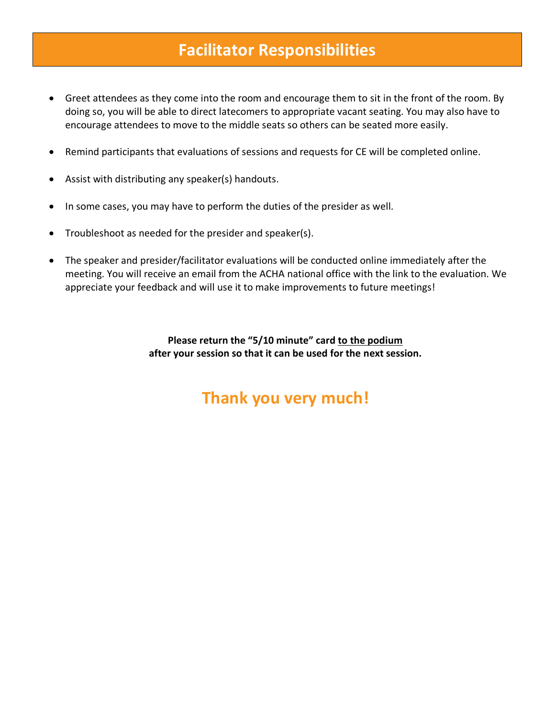## **Facilitator Responsibilities**

- Greet attendees as they come into the room and encourage them to sit in the front of the room. By doing so, you will be able to direct latecomers to appropriate vacant seating. You may also have to encourage attendees to move to the middle seats so others can be seated more easily.
- Remind participants that evaluations of sessions and requests for CE will be completed online.
- Assist with distributing any speaker(s) handouts.
- In some cases, you may have to perform the duties of the presider as well.
- Troubleshoot as needed for the presider and speaker(s).
- The speaker and presider/facilitator evaluations will be conducted online immediately after the meeting. You will receive an email from the ACHA national office with the link to the evaluation. We appreciate your feedback and will use it to make improvements to future meetings!

**Please return the "5/10 minute" card to the podium after your session so that it can be used for the next session.**

# **Thank you very much!**